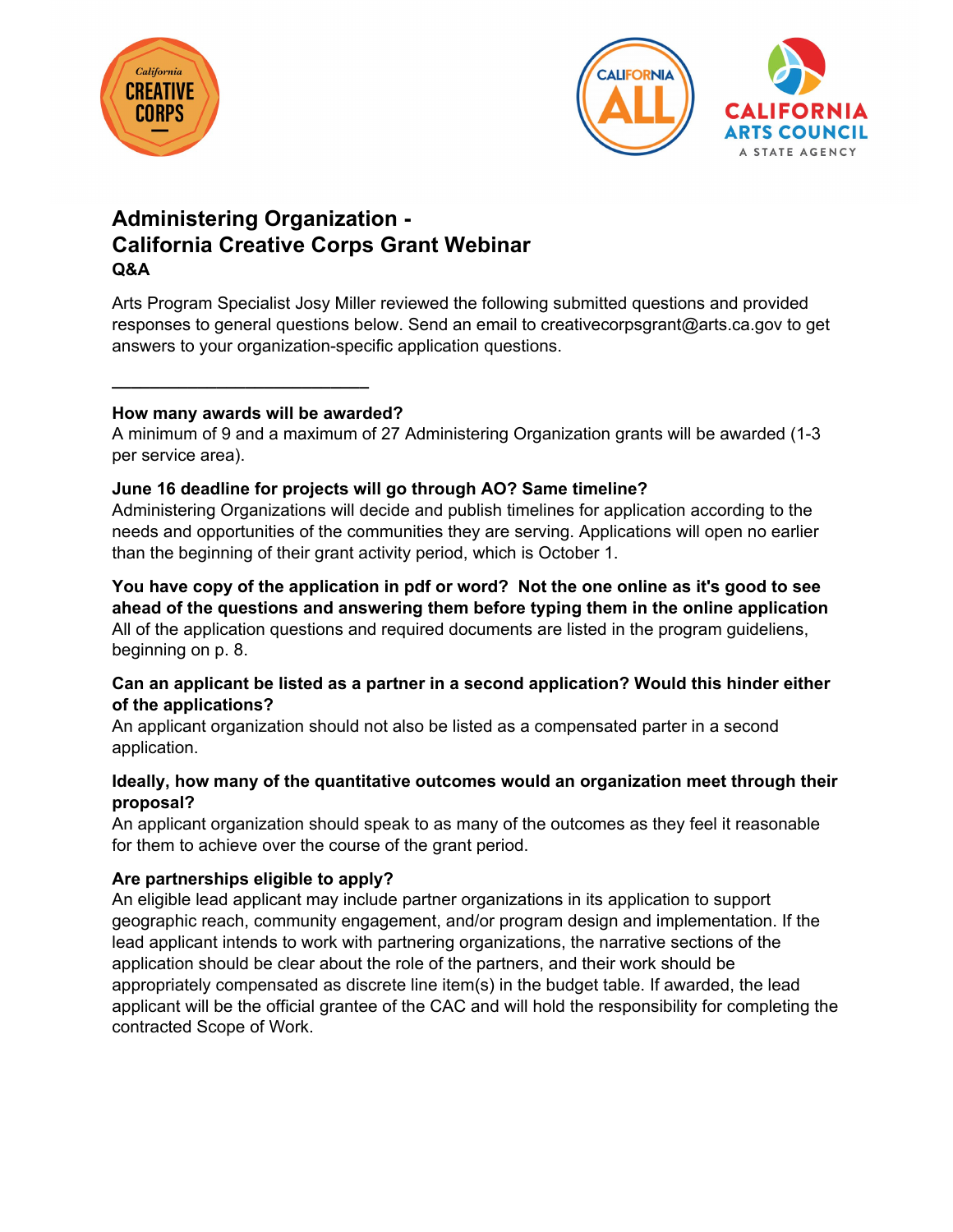



# **Administering Organization - California Creative Corps Grant Webinar Q&A**

Arts Program Specialist Josy Miller reviewed the following submitted questions and provided responses to general questions below. Send an email to creativecorpsgrant@arts.ca.gov to get answers to your organization-specific application questions.

#### **How many awards will be awarded?**

**[\\_\\_\\_\\_\\_\\_\\_\\_\\_\\_\\_\\_\\_\\_\\_\\_\\_\\_\\_\\_\\_\\_\\_\\_\\_\\_](mailto:creativecorpsgrant@arts.ca.gov?subject=CA%20Creative%20Corps%20Grant%20Application%20Question)\_** 

A minimum of 9 and a maximum of 27 Administering Organization grants will be awarded (1-3 per service area).

## **June 16 deadline for projects will go through AO? Same timeline?**

Administering Organizations will decide and publish timelines for application according to the needs and opportunities of the communities they are serving. Applications will open no earlier than the beginning of their grant activity period, which is October 1.

**You have copy of the application in pdf or word? Not the one online as it's good to see ahead of the questions and answering them before typing them in the online application** All of the application questions and required documents are listed in the program guideliens, beginning on p. 8.

## **Can an applicant be listed as a partner in a second application? Would this hinder either of the applications?**

An applicant organization should not also be listed as a compensated parter in a second application.

## **Ideally, how many of the quantitative outcomes would an organization meet through their proposal?**

An applicant organization should speak to as many of the outcomes as they feel it reasonable for them to achieve over the course of the grant period.

## **Are partnerships eligible to apply?**

An eligible lead applicant may include partner organizations in its application to support geographic reach, community engagement, and/or program design and implementation. If the lead applicant intends to work with partnering organizations, the narrative sections of the application should be clear about the role of the partners, and their work should be appropriately compensated as discrete line item(s) in the budget table. If awarded, the lead applicant will be the official grantee of the CAC and will hold the responsibility for completing the contracted Scope of Work.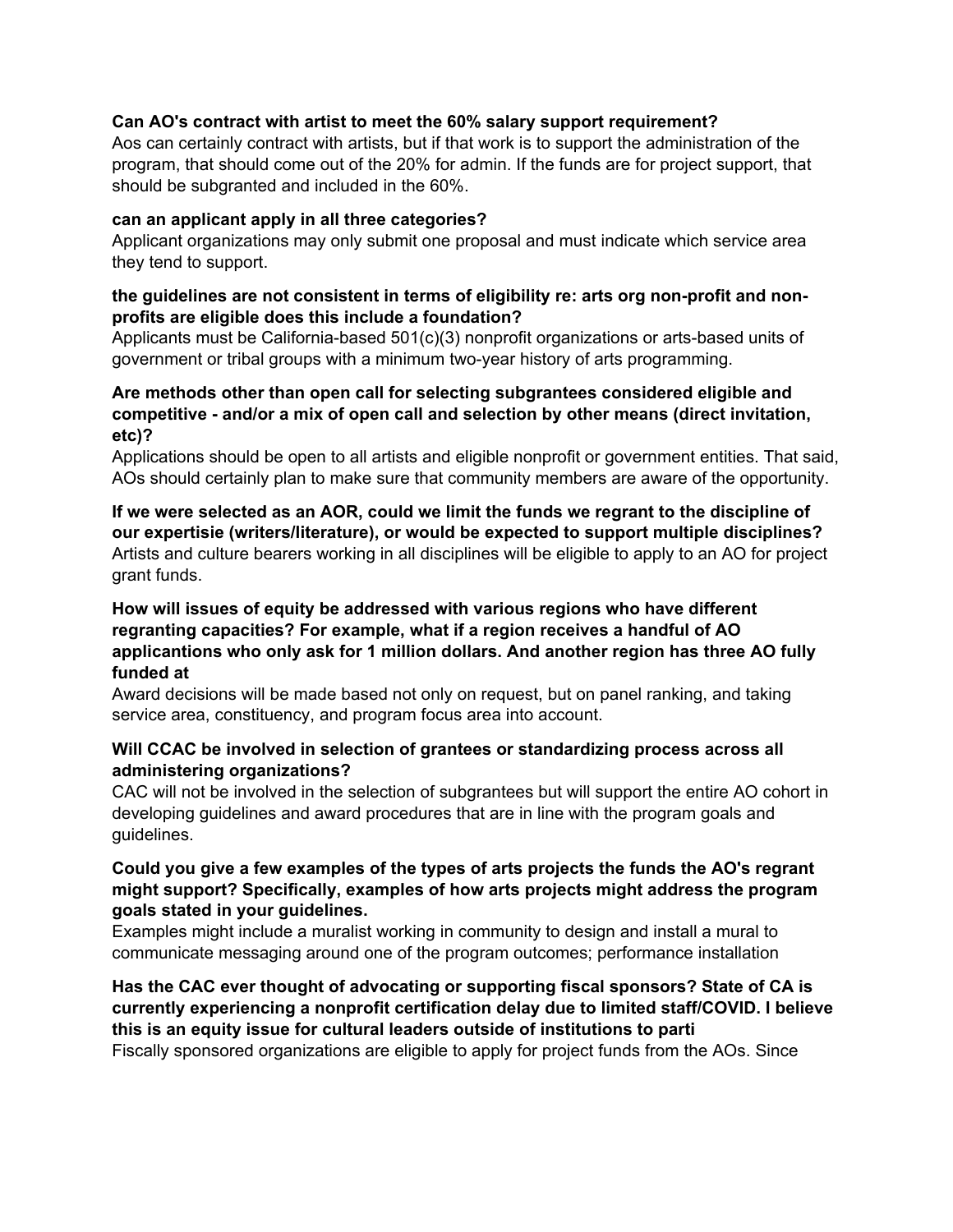#### **Can AO's contract with artist to meet the 60% salary support requirement?**

Aos can certainly contract with artists, but if that work is to support the administration of the program, that should come out of the 20% for admin. If the funds are for project support, that should be subgranted and included in the 60%.

#### **can an applicant apply in all three categories?**

Applicant organizations may only submit one proposal and must indicate which service area they tend to support.

#### **the guidelines are not consistent in terms of eligibility re: arts org non-profit and nonprofits are eligible does this include a foundation?**

Applicants must be California-based 501(c)(3) nonprofit organizations or arts-based units of government or tribal groups with a minimum two-year history of arts programming.

#### **Are methods other than open call for selecting subgrantees considered eligible and competitive - and/or a mix of open call and selection by other means (direct invitation, etc)?**

Applications should be open to all artists and eligible nonprofit or government entities. That said, AOs should certainly plan to make sure that community members are aware of the opportunity.

**If we were selected as an AOR, could we limit the funds we regrant to the discipline of our expertisie (writers/literature), or would be expected to support multiple disciplines?** Artists and culture bearers working in all disciplines will be eligible to apply to an AO for project grant funds.

#### **How will issues of equity be addressed with various regions who have different regranting capacities? For example, what if a region receives a handful of AO applicantions who only ask for 1 million dollars. And another region has three AO fully funded at**

Award decisions will be made based not only on request, but on panel ranking, and taking service area, constituency, and program focus area into account.

#### **Will CCAC be involved in selection of grantees or standardizing process across all administering organizations?**

CAC will not be involved in the selection of subgrantees but will support the entire AO cohort in developing guidelines and award procedures that are in line with the program goals and guidelines.

#### **Could you give a few examples of the types of arts projects the funds the AO's regrant might support? Specifically, examples of how arts projects might address the program goals stated in your guidelines.**

Examples might include a muralist working in community to design and install a mural to communicate messaging around one of the program outcomes; performance installation

## **Has the CAC ever thought of advocating or supporting fiscal sponsors? State of CA is currently experiencing a nonprofit certification delay due to limited staff/COVID. I believe this is an equity issue for cultural leaders outside of institutions to parti**

Fiscally sponsored organizations are eligible to apply for project funds from the AOs. Since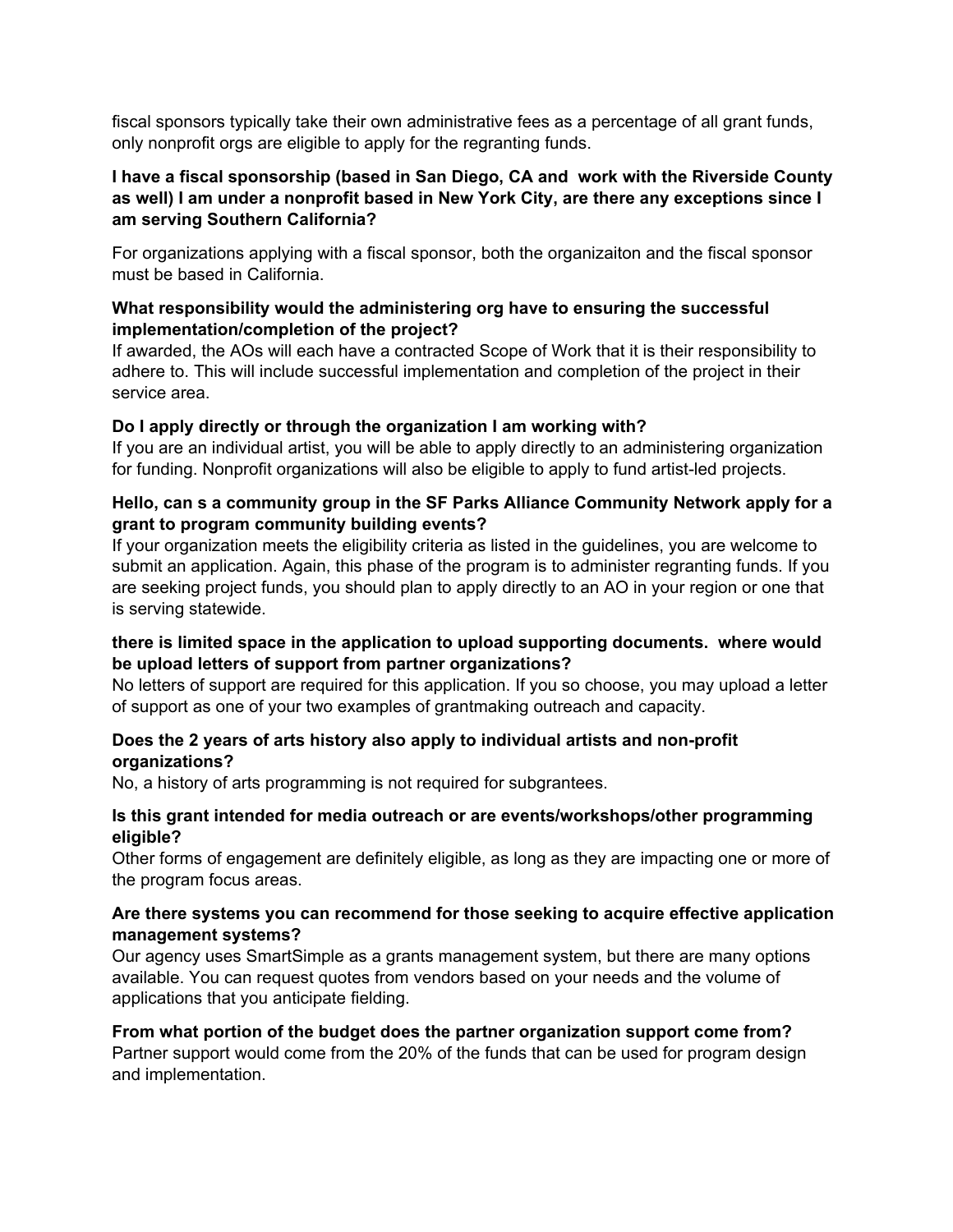fiscal sponsors typically take their own administrative fees as a percentage of all grant funds, only nonprofit orgs are eligible to apply for the regranting funds.

#### **I have a fiscal sponsorship (based in San Diego, CA and work with the Riverside County as well) I am under a nonprofit based in New York City, are there any exceptions since I am serving Southern California?**

For organizations applying with a fiscal sponsor, both the organizaiton and the fiscal sponsor must be based in California.

#### **What responsibility would the administering org have to ensuring the successful implementation/completion of the project?**

If awarded, the AOs will each have a contracted Scope of Work that it is their responsibility to adhere to. This will include successful implementation and completion of the project in their service area.

## **Do I apply directly or through the organization I am working with?**

If you are an individual artist, you will be able to apply directly to an administering organization for funding. Nonprofit organizations will also be eligible to apply to fund artist-led projects.

#### **Hello, can s a community group in the SF Parks Alliance Community Network apply for a grant to program community building events?**

If your organization meets the eligibility criteria as listed in the guidelines, you are welcome to submit an application. Again, this phase of the program is to administer regranting funds. If you are seeking project funds, you should plan to apply directly to an AO in your region or one that is serving statewide.

## **there is limited space in the application to upload supporting documents. where would be upload letters of support from partner organizations?**

No letters of support are required for this application. If you so choose, you may upload a letter of support as one of your two examples of grantmaking outreach and capacity.

## **Does the 2 years of arts history also apply to individual artists and non-profit organizations?**

No, a history of arts programming is not required for subgrantees.

#### **Is this grant intended for media outreach or are events/workshops/other programming eligible?**

Other forms of engagement are definitely eligible, as long as they are impacting one or more of the program focus areas.

## **Are there systems you can recommend for those seeking to acquire effective application management systems?**

Our agency uses SmartSimple as a grants management system, but there are many options available. You can request quotes from vendors based on your needs and the volume of applications that you anticipate fielding.

## **From what portion of the budget does the partner organization support come from?**

Partner support would come from the 20% of the funds that can be used for program design and implementation.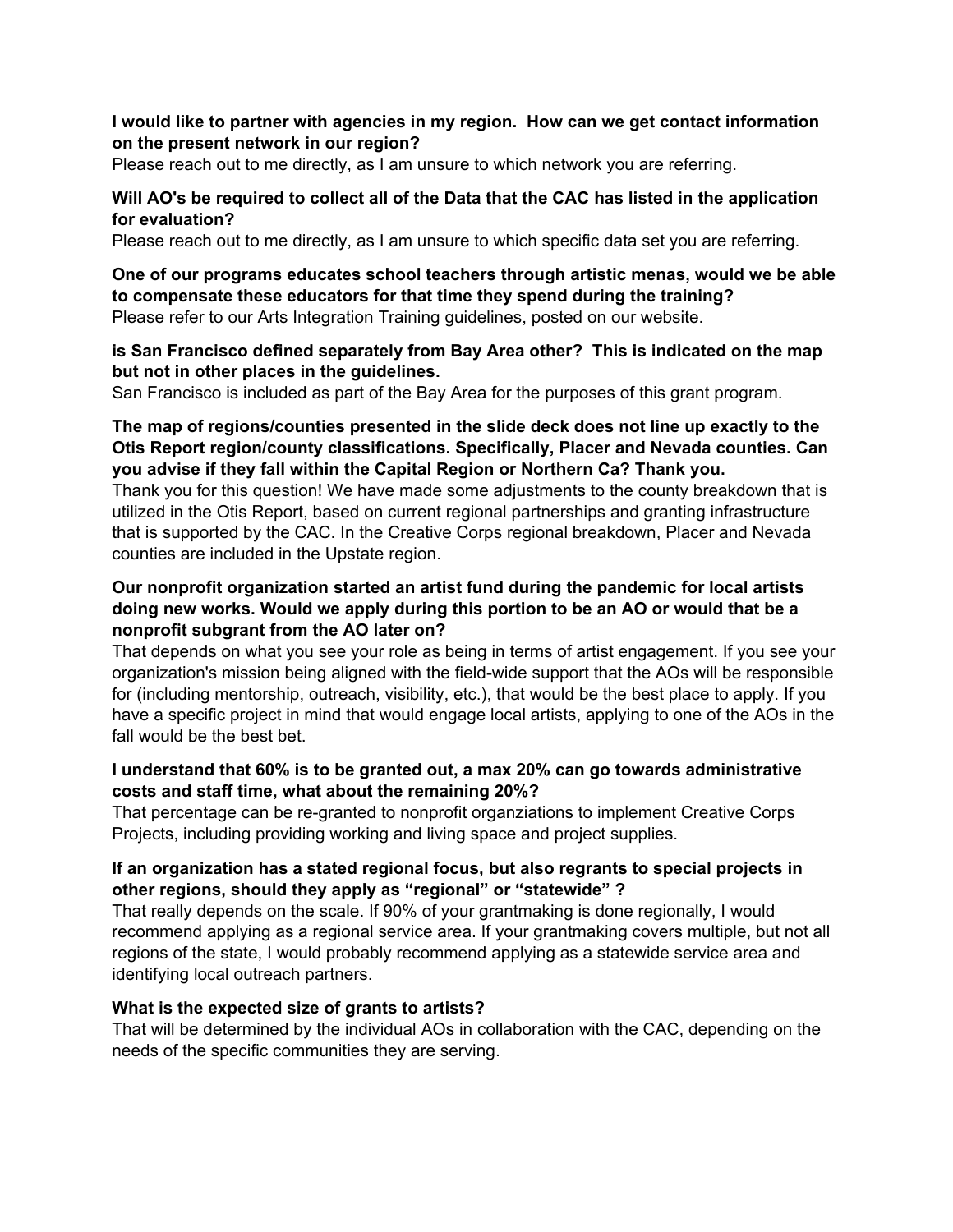#### **I would like to partner with agencies in my region. How can we get contact information on the present network in our region?**

Please reach out to me directly, as I am unsure to which network you are referring.

#### **Will AO's be required to collect all of the Data that the CAC has listed in the application for evaluation?**

Please reach out to me directly, as I am unsure to which specific data set you are referring.

#### **One of our programs educates school teachers through artistic menas, would we be able to compensate these educators for that time they spend during the training?** Please refer to our Arts Integration Training guidelines, posted on our website.

#### **is San Francisco defined separately from Bay Area other? This is indicated on the map but not in other places in the guidelines.**

San Francisco is included as part of the Bay Area for the purposes of this grant program.

#### **The map of regions/counties presented in the slide deck does not line up exactly to the Otis Report region/county classifications. Specifically, Placer and Nevada counties. Can you advise if they fall within the Capital Region or Northern Ca? Thank you.**

Thank you for this question! We have made some adjustments to the county breakdown that is utilized in the Otis Report, based on current regional partnerships and granting infrastructure that is supported by the CAC. In the Creative Corps regional breakdown, Placer and Nevada counties are included in the Upstate region.

#### **Our nonprofit organization started an artist fund during the pandemic for local artists doing new works. Would we apply during this portion to be an AO or would that be a nonprofit subgrant from the AO later on?**

That depends on what you see your role as being in terms of artist engagement. If you see your organization's mission being aligned with the field-wide support that the AOs will be responsible for (including mentorship, outreach, visibility, etc.), that would be the best place to apply. If you have a specific project in mind that would engage local artists, applying to one of the AOs in the fall would be the best bet.

## **I understand that 60% is to be granted out, a max 20% can go towards administrative costs and staff time, what about the remaining 20%?**

That percentage can be re-granted to nonprofit organziations to implement Creative Corps Projects, including providing working and living space and project supplies.

## **If an organization has a stated regional focus, but also regrants to special projects in other regions, should they apply as "regional" or "statewide" ?**

That really depends on the scale. If 90% of your grantmaking is done regionally, I would recommend applying as a regional service area. If your grantmaking covers multiple, but not all regions of the state, I would probably recommend applying as a statewide service area and identifying local outreach partners.

#### **What is the expected size of grants to artists?**

That will be determined by the individual AOs in collaboration with the CAC, depending on the needs of the specific communities they are serving.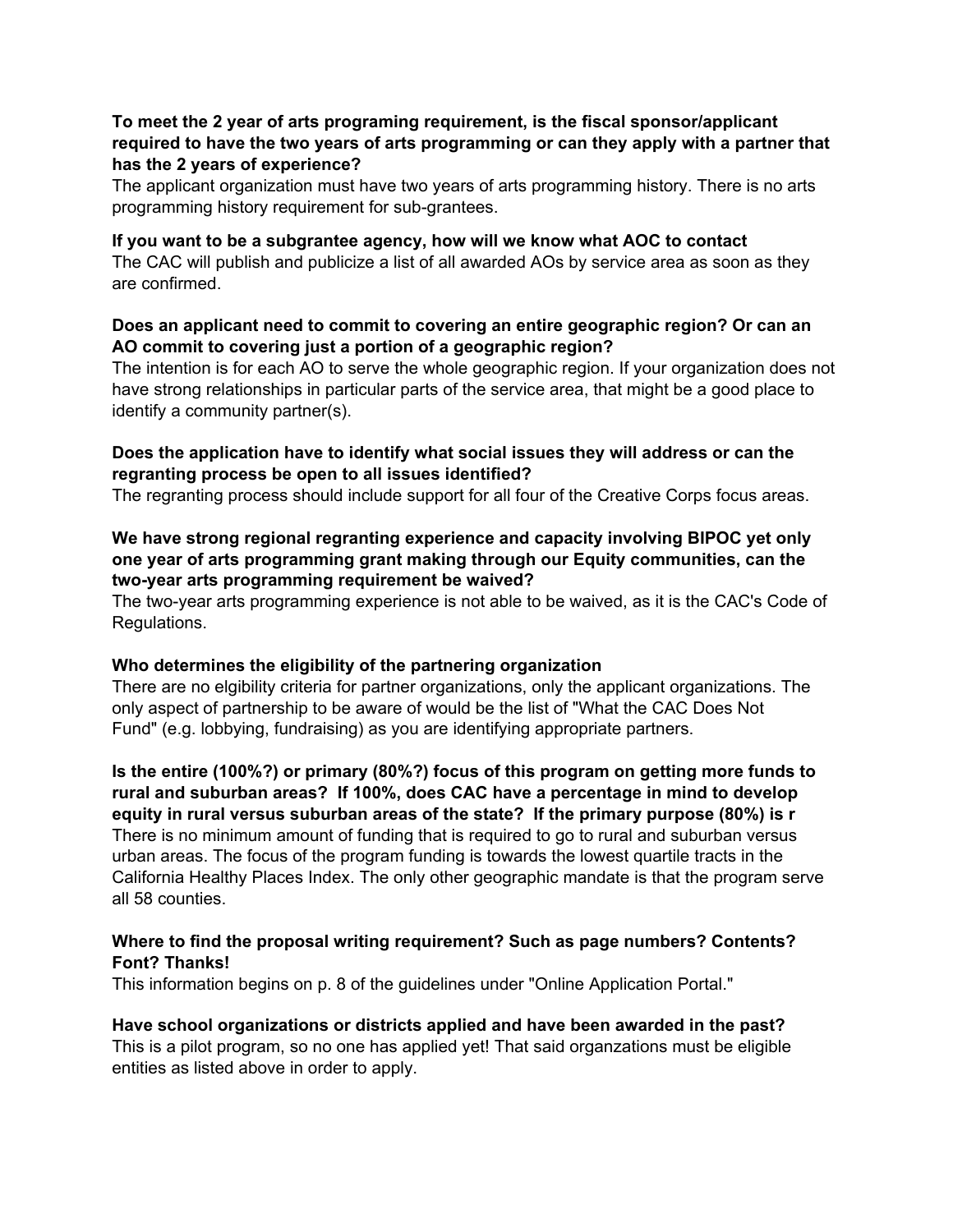#### **To meet the 2 year of arts programing requirement, is the fiscal sponsor/applicant required to have the two years of arts programming or can they apply with a partner that has the 2 years of experience?**

The applicant organization must have two years of arts programming history. There is no arts programming history requirement for sub-grantees.

#### **If you want to be a subgrantee agency, how will we know what AOC to contact**

The CAC will publish and publicize a list of all awarded AOs by service area as soon as they are confirmed.

#### **Does an applicant need to commit to covering an entire geographic region? Or can an AO commit to covering just a portion of a geographic region?**

The intention is for each AO to serve the whole geographic region. If your organization does not have strong relationships in particular parts of the service area, that might be a good place to identify a community partner(s).

## **Does the application have to identify what social issues they will address or can the regranting process be open to all issues identified?**

The regranting process should include support for all four of the Creative Corps focus areas.

## **We have strong regional regranting experience and capacity involving BIPOC yet only one year of arts programming grant making through our Equity communities, can the two-year arts programming requirement be waived?**

The two-year arts programming experience is not able to be waived, as it is the CAC's Code of Regulations.

#### **Who determines the eligibility of the partnering organization**

There are no elgibility criteria for partner organizations, only the applicant organizations. The only aspect of partnership to be aware of would be the list of "What the CAC Does Not Fund" (e.g. lobbying, fundraising) as you are identifying appropriate partners.

**Is the entire (100%?) or primary (80%?) focus of this program on getting more funds to rural and suburban areas? If 100%, does CAC have a percentage in mind to develop equity in rural versus suburban areas of the state? If the primary purpose (80%) is r** There is no minimum amount of funding that is required to go to rural and suburban versus urban areas. The focus of the program funding is towards the lowest quartile tracts in the California Healthy Places Index. The only other geographic mandate is that the program serve all 58 counties.

## **Where to find the proposal writing requirement? Such as page numbers? Contents? Font? Thanks!**

This information begins on p. 8 of the guidelines under "Online Application Portal."

## **Have school organizations or districts applied and have been awarded in the past?**

This is a pilot program, so no one has applied yet! That said organzations must be eligible entities as listed above in order to apply.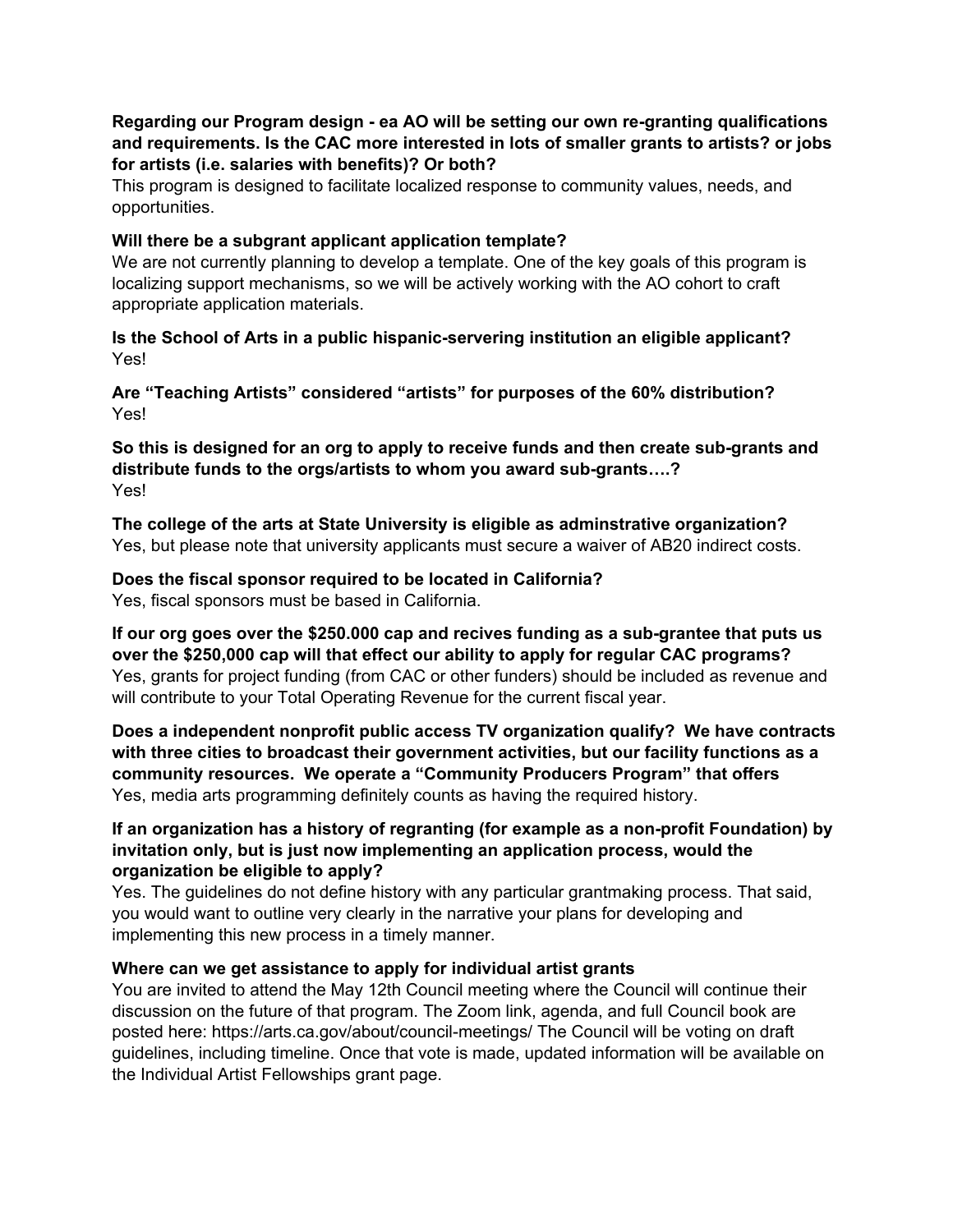#### **Regarding our Program design - ea AO will be setting our own re-granting qualifications and requirements. Is the CAC more interested in lots of smaller grants to artists? or jobs for artists (i.e. salaries with benefits)? Or both?**

This program is designed to facilitate localized response to community values, needs, and opportunities.

#### **Will there be a subgrant applicant application template?**

We are not currently planning to develop a template. One of the key goals of this program is localizing support mechanisms, so we will be actively working with the AO cohort to craft appropriate application materials.

#### **Is the School of Arts in a public hispanic-servering institution an eligible applicant?** Yes!

**Are "Teaching Artists" considered "artists" for purposes of the 60% distribution?** Yes!

#### **So this is designed for an org to apply to receive funds and then create sub-grants and distribute funds to the orgs/artists to whom you award sub-grants….?** Yes!

**The college of the arts at State University is eligible as adminstrative organization?** Yes, but please note that university applicants must secure a waiver of AB20 indirect costs.

## **Does the fiscal sponsor required to be located in California?**

Yes, fiscal sponsors must be based in California.

**If our org goes over the \$250.000 cap and recives funding as a sub-grantee that puts us over the \$250,000 cap will that effect our ability to apply for regular CAC programs?** Yes, grants for project funding (from CAC or other funders) should be included as revenue and will contribute to your Total Operating Revenue for the current fiscal year.

**Does a independent nonprofit public access TV organization qualify? We have contracts with three cities to broadcast their government activities, but our facility functions as a community resources. We operate a "Community Producers Program" that offers** Yes, media arts programming definitely counts as having the required history.

## **If an organization has a history of regranting (for example as a non-profit Foundation) by invitation only, but is just now implementing an application process, would the organization be eligible to apply?**

Yes. The guidelines do not define history with any particular grantmaking process. That said, you would want to outline very clearly in the narrative your plans for developing and implementing this new process in a timely manner.

## **Where can we get assistance to apply for individual artist grants**

You are invited to attend the May 12th Council meeting where the Council will continue their discussion on the future of that program. The Zoom link, agenda, and full Council book are posted here: https://arts.ca.gov/about/council-meetings/ The Council will be voting on draft guidelines, including timeline. Once that vote is made, updated information will be available on the Individual Artist Fellowships grant page.